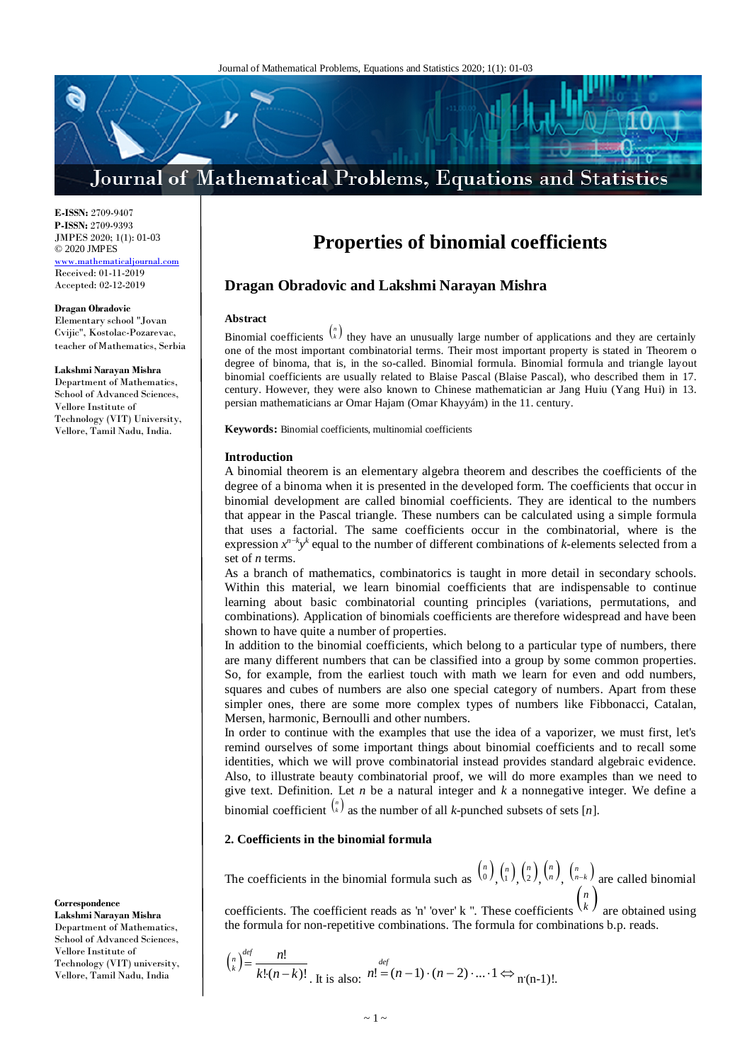# Journal of Mathematical Problems, Equations and Statistics

**E-ISSN:** 2709-9407 **P-ISSN:** 2709-9393 JMPES 2020; 1(1): 01-03 © 2020 JMPES mathemat

Received: 01-11-2019 Accepted: 02-12-2019

### **Dragan Obradovic**

Elementary school "Jovan Cvijic", Kostolac-Pozarevac, teacher of Мathematics, Serbia

#### **Lakshmi Narayan Mishra**

Department of Mathematics, School of Advanced Sciences, Vellore Institute of Technology (VIT) University, Vellore, Tamil Nadu, India.

**Correspondence**

**Lakshmi Narayan Mishra** Department of Mathematics, School of Advanced Sciences, Vellore Institute of Technology (VIT) university, Vellore, Tamil Nadu, India

# **Properties of binomial coefficients**

# **Dragan Obradovic and Lakshmi Narayan Mishra**

# **Abstract**

Binomial coefficients  $\binom{n}{k}$  they have an unusually large number of applications and they are certainly one of the most important combinatorial terms. Their most important property is stated in Theorem o degree of binoma, that is, in the so-called. Binomial formula. Binomial formula and triangle layout binomial coefficients are usually related to Blaise Pascal (Blaise Pascal), who described them in 17. century. However, they were also known to Chinese mathematician ar Jang Huiu (Yang Hui) in 13. persian mathematicians ar Omar Hajam (Omar Khayyám) in the 11. century.

**Keywords:** Binomial coefficients, multinomial coefficients

### **Introduction**

A binomial theorem is an elementary algebra theorem and describes the coefficients of the degree of a binoma when it is presented in the developed form. The coefficients that occur in binomial development are called binomial coefficients. They are identical to the numbers that appear in the Pascal triangle. These numbers can be calculated using a simple formula that uses a factorial. The same coefficients occur in the combinatorial, where is the expression *xn*−*<sup>k</sup> y<sup>k</sup>* equal to the number of different combinations of *k-*elements selected from a set of *n* terms.

As a branch of mathematics, combinatorics is taught in more detail in secondary schools. Within this material, we learn binomial coefficients that are indispensable to continue learning about basic combinatorial counting principles (variations, permutations, and combinations). Application of binomials coefficients are therefore widespread and have been shown to have quite a number of properties.

In addition to the binomial coefficients, which belong to a particular type of numbers, there are many different numbers that can be classified into a group by some common properties. So, for example, from the earliest touch with math we learn for even and odd numbers, squares and cubes of numbers are also one special category of numbers. Apart from these simpler ones, there are some more complex types of numbers like Fibbonacci, Catalan, Mersen, harmonic, Bernoulli and other numbers.

In order to continue with the examples that use the idea of a vaporizer, we must first, let's remind ourselves of some important things about binomial coefficients and to recall some identities, which we will prove combinatorial instead provides standard algebraic evidence. Also, to illustrate beauty combinatorial proof, we will do more examples than we need to give text. Definition. Let *n* be a natural integer and *k* a nonnegative integer. We define a binomial coefficient  $\binom{n}{k}$  as the number of all *k*-punched subsets of sets [*n*].

# **2. Coefficients in the binomial formula**

The coefficients in the binomial formula such as  $\binom{n}{0}$ ,  $\binom{n}{1}$ ,  $\binom{n}{2}$ ,  $\binom{n}{n}$ ,  $\binom{n}{n-k}$  are called binomial coefficients. The coefficient reads as 'n' 'over' k ". These coefficients  $\binom{n}{k}$  are obtained using

the formula for non-repetitive combinations. The formula for combinations b.p. reads.

$$
\binom{n}{k}^{\text{def}} = \frac{n!}{k!(n-k)!}
$$
\nIt is also: 
$$
n! = (n-1) \cdot (n-2) \cdot \ldots \cdot 1 \Leftrightarrow n(n-1)!
$$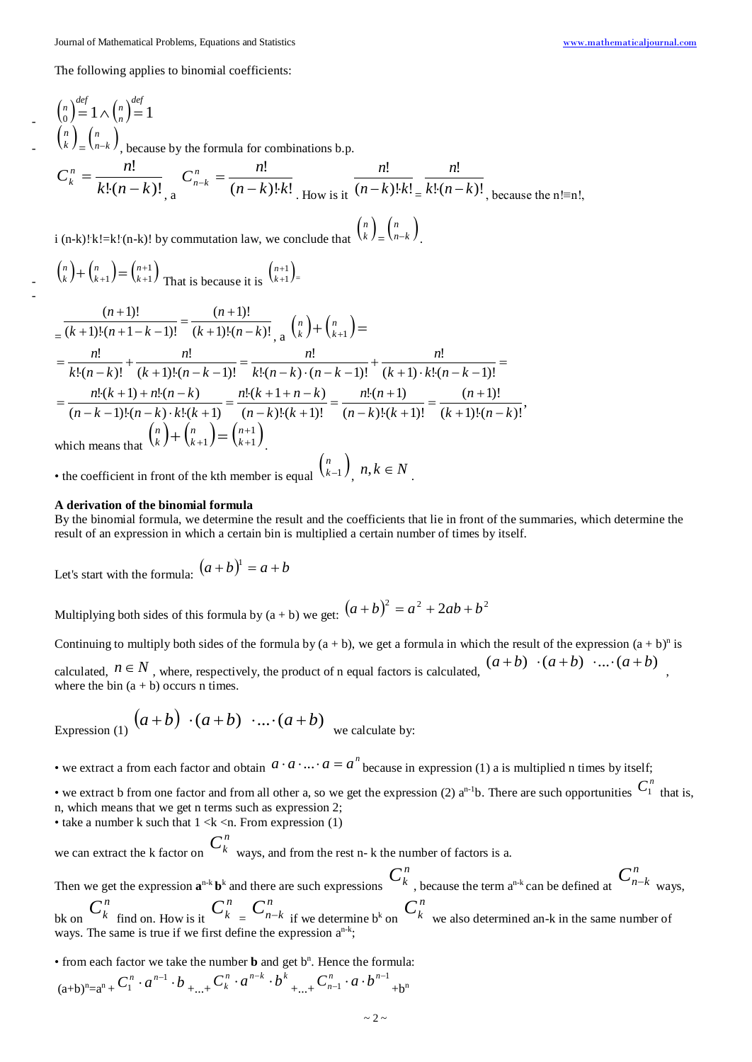The following applies to binomial coefficients:

$$
\binom{n}{0} \stackrel{def}{=} 1 \wedge \binom{n}{n} \stackrel{def}{=} 1
$$
\n
$$
\binom{n}{k} \stackrel{n}{=} \binom{n}{n-k}, \text{ because by the formula for combinations b.p.}
$$
\n
$$
C_k^n = \frac{n!}{k!(n-k)!}, \quad C_{n-k}^n = \frac{n!}{(n-k)!k!}, \quad \frac{n!}{(n-k)!k!} \stackrel{n!}{=} \frac{n!}{k!(n-k)!}, \text{ because the n!=n!},
$$
\n
$$
\text{i (n-k)!k!} = \text{k!}(n-k)!\text{ by commutation law, we conclude that } \binom{n}{k} \stackrel{n}{=} \binom{n}{n-k}.
$$
\n
$$
\binom{n}{k} + \binom{n}{k+1} = \binom{n+1}{k+1} \text{ That is because it is } \binom{n+1}{k+1} =
$$
\n
$$
\frac{(n+1)!}{(k+1)!(n+1-k-1)!} = \frac{(n+1)!}{(k+1)!(n-k)!}, \quad \frac{n}{k} \binom{n}{k} + \binom{n}{k+1} =
$$
\n
$$
= \frac{n!}{k!(n-k)!} + \frac{n!}{(k+1)!(n-k-1)!} = \frac{n!}{k!(n-k) \cdot (n-k-1)!} + \frac{n!}{(k+1) \cdot k!(n-k-1)!} =
$$
\n
$$
= \frac{n!}{(n-k-1)!(n-k) \cdot k! (k+1)} = \frac{n! (k+1+n-k)}{(n-k)!(k+1)!} = \frac{n! (n+1)}{(n-k)!(k+1)!} = \frac{(n+1)!}{(k+1)!(n-k)!},
$$

which means that  $\binom{n}{k} + \binom{n}{k+1} = \binom{n+1}{k+1}$ *k n k n*  $k \int (k+1)$   $(k+1)$ .

• the coefficient in front of the kth member is equal  $\binom{n}{k-1}$ ,  $n, k \in N$ .

#### **A derivation of the binomial formula**

-

By the binomial formula, we determine the result and the coefficients that lie in front of the summaries, which determine the result of an expression in which a certain bin is multiplied a certain number of times by itself.

Let's start with the formula:  $(a + b)^1 = a + b$ 

Multiplying both sides of this formula by  $(a + b)$  we get:  $(a + b)^2 = a^2 + 2ab + b^2$ 

Continuing to multiply both sides of the formula by  $(a + b)$ , we get a formula in which the result of the expression  $(a + b)^n$  is calculated,  $n \in N$ , where, respectively, the product of n equal factors is calculated,  $(a + b) \cdot (a + b) \cdot ... \cdot (a + b)$ where the bin  $(a + b)$  occurs n times.

Expression (1) 
$$
(a+b) \cdot (a+b) \cdot ... \cdot (a+b)
$$
 we calculate by:

• we extract a from each factor and obtain  $a \cdot a \cdot ... \cdot a = a^n$  because in expression (1) a is multiplied n times by itself;

• we extract b from one factor and from all other a, so we get the expression (2)  $a^{n-1}b$ . There are such opportunities  $C_1^n$  that is, n, which means that we get n terms such as expression 2;

• take a number k such that  $1 \le k \le n$ . From expression (1)

we can extract the k factor on  $C_k^n$  ways, and from the rest n- k the number of factors is a. Then we get the expression  $\mathbf{a}^{n-k} \mathbf{b}^k$  and there are such expressions  $C_k^n$ , because the term  $\mathbf{a}^{n-k}$  can be defined at  $C_{n-k}^n$  ways, bk on  $C_k^n$  find on. How is it  $C_k^n = C_{n-k}^n$  if we determine b<sup>k</sup> on  $C_k^n$  we also determined an-k in the same number of ways. The same is true if we first define the expression  $a^{n-k}$ ;

 $\bullet$  from each factor we take the number **b** and get  $b<sup>n</sup>$ . Hence the formula:

$$
(a+b)^n = a^n + C_1^n \cdot a^{n-1} \cdot b + \dots + C_k^n \cdot a^{n-k} \cdot b^k + \dots + C_{n-1}^n \cdot a \cdot b^{n-1} + b^n
$$